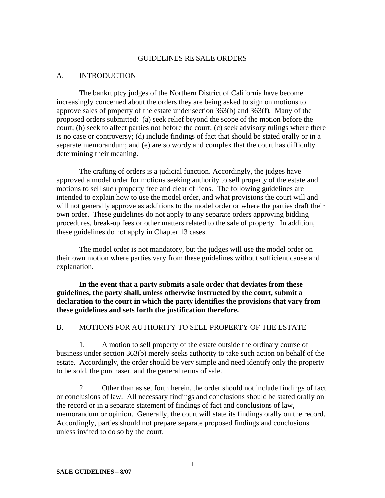#### GUIDELINES RE SALE ORDERS

### A. INTRODUCTION

 The bankruptcy judges of the Northern District of California have become increasingly concerned about the orders they are being asked to sign on motions to approve sales of property of the estate under section 363(b) and 363(f). Many of the proposed orders submitted: (a) seek relief beyond the scope of the motion before the court; (b) seek to affect parties not before the court; (c) seek advisory rulings where there is no case or controversy; (d) include findings of fact that should be stated orally or in a separate memorandum; and (e) are so wordy and complex that the court has difficulty determining their meaning.

 The crafting of orders is a judicial function. Accordingly, the judges have approved a model order for motions seeking authority to sell property of the estate and motions to sell such property free and clear of liens. The following guidelines are intended to explain how to use the model order, and what provisions the court will and will not generally approve as additions to the model order or where the parties draft their own order. These guidelines do not apply to any separate orders approving bidding procedures, break-up fees or other matters related to the sale of property. In addition, these guidelines do not apply in Chapter 13 cases.

 The model order is not mandatory, but the judges will use the model order on their own motion where parties vary from these guidelines without sufficient cause and explanation.

**In the event that a party submits a sale order that deviates from these guidelines, the party shall, unless otherwise instructed by the court, submit a declaration to the court in which the party identifies the provisions that vary from these guidelines and sets forth the justification therefore.** 

#### B. MOTIONS FOR AUTHORITY TO SELL PROPERTY OF THE ESTATE

 1. A motion to sell property of the estate outside the ordinary course of business under section 363(b) merely seeks authority to take such action on behalf of the estate. Accordingly, the order should be very simple and need identify only the property to be sold, the purchaser, and the general terms of sale.

 2. Other than as set forth herein, the order should not include findings of fact or conclusions of law. All necessary findings and conclusions should be stated orally on the record or in a separate statement of findings of fact and conclusions of law, memorandum or opinion. Generally, the court will state its findings orally on the record. Accordingly, parties should not prepare separate proposed findings and conclusions unless invited to do so by the court.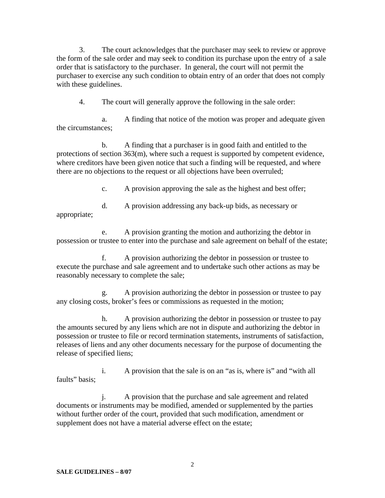3. The court acknowledges that the purchaser may seek to review or approve the form of the sale order and may seek to condition its purchase upon the entry of a sale order that is satisfactory to the purchaser. In general, the court will not permit the purchaser to exercise any such condition to obtain entry of an order that does not comply with these guidelines.

4. The court will generally approve the following in the sale order:

 a. A finding that notice of the motion was proper and adequate given the circumstances;

 b. A finding that a purchaser is in good faith and entitled to the protections of section 363(m), where such a request is supported by competent evidence, where creditors have been given notice that such a finding will be requested, and where there are no objections to the request or all objections have been overruled;

c. A provision approving the sale as the highest and best offer;

 d. A provision addressing any back-up bids, as necessary or appropriate;

 e. A provision granting the motion and authorizing the debtor in possession or trustee to enter into the purchase and sale agreement on behalf of the estate;

 f. A provision authorizing the debtor in possession or trustee to execute the purchase and sale agreement and to undertake such other actions as may be reasonably necessary to complete the sale;

 g. A provision authorizing the debtor in possession or trustee to pay any closing costs, broker's fees or commissions as requested in the motion;

 h. A provision authorizing the debtor in possession or trustee to pay the amounts secured by any liens which are not in dispute and authorizing the debtor in possession or trustee to file or record termination statements, instruments of satisfaction, releases of liens and any other documents necessary for the purpose of documenting the release of specified liens;

 i. A provision that the sale is on an "as is, where is" and "with all faults" basis;

 j. A provision that the purchase and sale agreement and related documents or instruments may be modified, amended or supplemented by the parties without further order of the court, provided that such modification, amendment or supplement does not have a material adverse effect on the estate;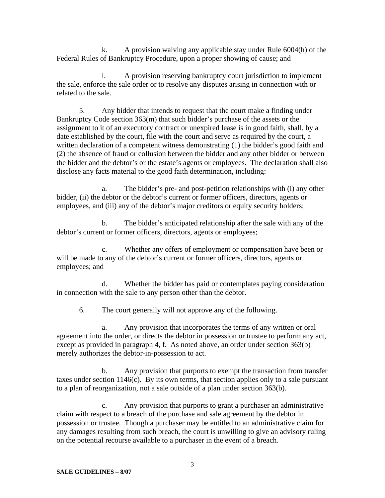k. A provision waiving any applicable stay under Rule 6004(h) of the Federal Rules of Bankruptcy Procedure, upon a proper showing of cause; and

 l. A provision reserving bankruptcy court jurisdiction to implement the sale, enforce the sale order or to resolve any disputes arising in connection with or related to the sale.

 5. Any bidder that intends to request that the court make a finding under Bankruptcy Code section 363(m) that such bidder's purchase of the assets or the assignment to it of an executory contract or unexpired lease is in good faith, shall, by a date established by the court, file with the court and serve as required by the court, a written declaration of a competent witness demonstrating (1) the bidder's good faith and (2) the absence of fraud or collusion between the bidder and any other bidder or between the bidder and the debtor's or the estate's agents or employees. The declaration shall also disclose any facts material to the good faith determination, including:

 a. The bidder's pre- and post-petition relationships with (i) any other bidder, (ii) the debtor or the debtor's current or former officers, directors, agents or employees, and (iii) any of the debtor's major creditors or equity security holders;

 b. The bidder's anticipated relationship after the sale with any of the debtor's current or former officers, directors, agents or employees;

 c. Whether any offers of employment or compensation have been or will be made to any of the debtor's current or former officers, directors, agents or employees; and

 d. Whether the bidder has paid or contemplates paying consideration in connection with the sale to any person other than the debtor.

6. The court generally will not approve any of the following.

 a. Any provision that incorporates the terms of any written or oral agreement into the order, or directs the debtor in possession or trustee to perform any act, except as provided in paragraph 4, f. As noted above, an order under section 363(b) merely authorizes the debtor-in-possession to act.

 b. Any provision that purports to exempt the transaction from transfer taxes under section 1146(c). By its own terms, that section applies only to a sale pursuant to a plan of reorganization, not a sale outside of a plan under section 363(b).

 c. Any provision that purports to grant a purchaser an administrative claim with respect to a breach of the purchase and sale agreement by the debtor in possession or trustee. Though a purchaser may be entitled to an administrative claim for any damages resulting from such breach, the court is unwilling to give an advisory ruling on the potential recourse available to a purchaser in the event of a breach.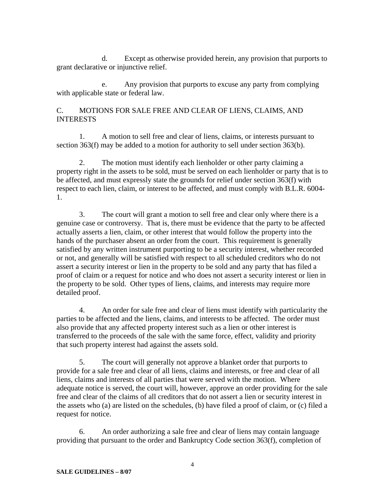d. Except as otherwise provided herein, any provision that purports to grant declarative or injunctive relief.

 e. Any provision that purports to excuse any party from complying with applicable state or federal law.

# C. MOTIONS FOR SALE FREE AND CLEAR OF LIENS, CLAIMS, AND **INTERESTS**

 1. A motion to sell free and clear of liens, claims, or interests pursuant to section 363(f) may be added to a motion for authority to sell under section 363(b).

 2. The motion must identify each lienholder or other party claiming a property right in the assets to be sold, must be served on each lienholder or party that is to be affected, and must expressly state the grounds for relief under section 363(f) with respect to each lien, claim, or interest to be affected, and must comply with B.L.R. 6004- 1.

 3. The court will grant a motion to sell free and clear only where there is a genuine case or controversy. That is, there must be evidence that the party to be affected actually asserts a lien, claim, or other interest that would follow the property into the hands of the purchaser absent an order from the court. This requirement is generally satisfied by any written instrument purporting to be a security interest, whether recorded or not, and generally will be satisfied with respect to all scheduled creditors who do not assert a security interest or lien in the property to be sold and any party that has filed a proof of claim or a request for notice and who does not assert a security interest or lien in the property to be sold. Other types of liens, claims, and interests may require more detailed proof.

 4. An order for sale free and clear of liens must identify with particularity the parties to be affected and the liens, claims, and interests to be affected. The order must also provide that any affected property interest such as a lien or other interest is transferred to the proceeds of the sale with the same force, effect, validity and priority that such property interest had against the assets sold.

 5. The court will generally not approve a blanket order that purports to provide for a sale free and clear of all liens, claims and interests, or free and clear of all liens, claims and interests of all parties that were served with the motion. Where adequate notice is served, the court will, however, approve an order providing for the sale free and clear of the claims of all creditors that do not assert a lien or security interest in the assets who (a) are listed on the schedules, (b) have filed a proof of claim, or (c) filed a request for notice.

 6. An order authorizing a sale free and clear of liens may contain language providing that pursuant to the order and Bankruptcy Code section 363(f), completion of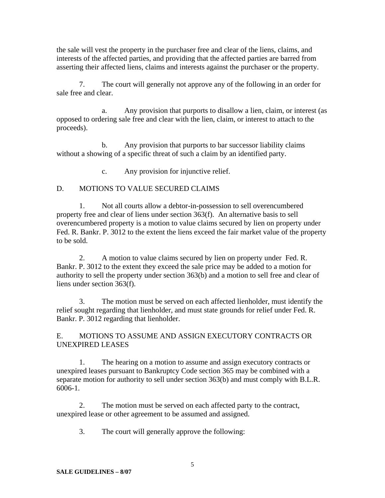the sale will vest the property in the purchaser free and clear of the liens, claims, and interests of the affected parties, and providing that the affected parties are barred from asserting their affected liens, claims and interests against the purchaser or the property.

 7. The court will generally not approve any of the following in an order for sale free and clear.

 a. Any provision that purports to disallow a lien, claim, or interest (as opposed to ordering sale free and clear with the lien, claim, or interest to attach to the proceeds).

 b. Any provision that purports to bar successor liability claims without a showing of a specific threat of such a claim by an identified party.

c. Any provision for injunctive relief.

# D. MOTIONS TO VALUE SECURED CLAIMS

 1. Not all courts allow a debtor-in-possession to sell overencumbered property free and clear of liens under section 363(f). An alternative basis to sell overencumbered property is a motion to value claims secured by lien on property under Fed. R. Bankr. P. 3012 to the extent the liens exceed the fair market value of the property to be sold.

 2. A motion to value claims secured by lien on property under Fed. R. Bankr. P. 3012 to the extent they exceed the sale price may be added to a motion for authority to sell the property under section 363(b) and a motion to sell free and clear of liens under section 363(f).

 3. The motion must be served on each affected lienholder, must identify the relief sought regarding that lienholder, and must state grounds for relief under Fed. R. Bankr. P. 3012 regarding that lienholder.

E. MOTIONS TO ASSUME AND ASSIGN EXECUTORY CONTRACTS OR UNEXPIRED LEASES

 1. The hearing on a motion to assume and assign executory contracts or unexpired leases pursuant to Bankruptcy Code section 365 may be combined with a separate motion for authority to sell under section 363(b) and must comply with B.L.R. 6006-1.

 2. The motion must be served on each affected party to the contract, unexpired lease or other agreement to be assumed and assigned.

3. The court will generally approve the following: